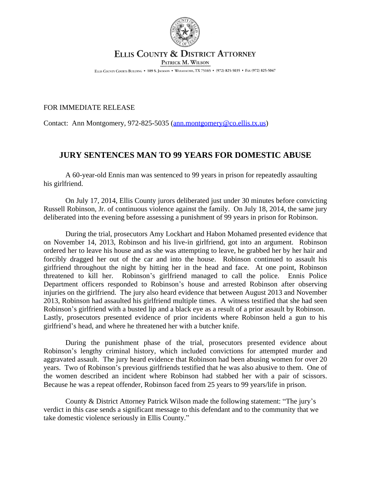

## ELLIS COUNTY & DISTRICT ATTORNEY PATRICK M. WILSON

ELLIS COUNTY COURTS BUILDING . 109 S. JACKSON . WAXAHACHIE, TX 75165 . (972) 825-5035 . FAX (972) 825-5047

## FOR IMMEDIATE RELEASE

Contact: Ann Montgomery, 972-825-5035 ([ann.montgomery@co.ellis.tx.us](mailto:ann.montgomery@co.ellis.tx.us))

## **JURY SENTENCES MAN TO 99 YEARS FOR DOMESTIC ABUSE**

A 60-year-old Ennis man was sentenced to 99 years in prison for repeatedly assaulting his girlfriend.

On July 17, 2014, Ellis County jurors deliberated just under 30 minutes before convicting Russell Robinson, Jr. of continuous violence against the family. On July 18, 2014, the same jury deliberated into the evening before assessing a punishment of 99 years in prison for Robinson.

During the trial, prosecutors Amy Lockhart and Habon Mohamed presented evidence that on November 14, 2013, Robinson and his live-in girlfriend, got into an argument. Robinson ordered her to leave his house and as she was attempting to leave, he grabbed her by her hair and forcibly dragged her out of the car and into the house. Robinson continued to assault his girlfriend throughout the night by hitting her in the head and face. At one point, Robinson threatened to kill her. Robinson's girlfriend managed to call the police. Ennis Police Department officers responded to Robinson's house and arrested Robinson after observing injuries on the girlfriend. The jury also heard evidence that between August 2013 and November 2013, Robinson had assaulted his girlfriend multiple times. A witness testified that she had seen Robinson's girlfriend with a busted lip and a black eye as a result of a prior assault by Robinson. Lastly, prosecutors presented evidence of prior incidents where Robinson held a gun to his girlfriend's head, and where he threatened her with a butcher knife.

During the punishment phase of the trial, prosecutors presented evidence about Robinson's lengthy criminal history, which included convictions for attempted murder and aggravated assault. The jury heard evidence that Robinson had been abusing women for over 20 years. Two of Robinson's previous girlfriends testified that he was also abusive to them. One of the women described an incident where Robinson had stabbed her with a pair of scissors. Because he was a repeat offender, Robinson faced from 25 years to 99 years/life in prison.

County & District Attorney Patrick Wilson made the following statement: "The jury's verdict in this case sends a significant message to this defendant and to the community that we take domestic violence seriously in Ellis County."